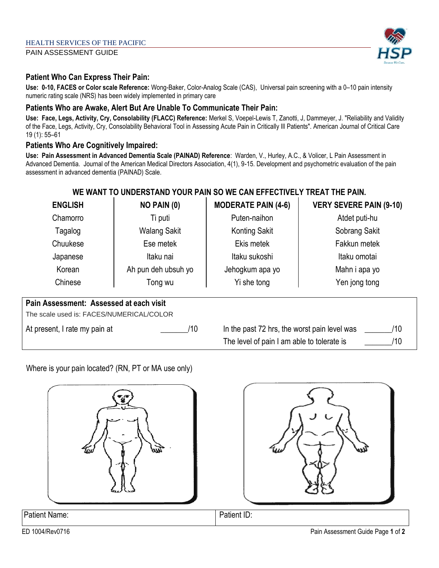PAIN ASSESSMENT GUIDE

### **Patient Who Can Express Their Pain:**

**Use: 0-10, FACES or Color scale Reference:** Wong-Baker, Color-Analog Scale (CAS), Universal pain screening with a 0–10 pain intensity numeric rating scale (NRS) has been widely implemented in primary care

#### **Patients Who are Awake, Alert But Are Unable To Communicate Their Pain:**

**Use: Face, Legs, Activity, Cry, Consolability (FLACC) Reference:** Merkel S, Voepel-Lewis T, Zanotti, J, Dammeyer, J. "Reliability and Validity of the Face, Legs, Activity, Cry, Consolability Behavioral Tool in Assessing Acute Pain in Critically Ill Patients". American Journal of Critical Care 19 (1): 55–61

#### **Patients Who Are Cognitively Impaired:**

**Use: Pain Assessment in Advanced Dementia Scale (PAINAD) Reference**: Warden, V., Hurley, A.C., & Volicer, L Pain Assessment in Advanced Dementia. Journal of the American Medical Directors Association, 4(1), 9-15. Development and psychometric evaluation of the pain assessment in advanced dementia (PAINAD) Scale.

## **WE WANT TO UNDERSTAND YOUR PAIN SO WE CAN EFFECTIVELY TREAT THE PAIN.**

| <b>ENGLISH</b>                                                                      | NO PAIN (0)         | <b>MODERATE PAIN (4-6)</b>                          | <b>VERY SEVERE PAIN (9-10)</b> |
|-------------------------------------------------------------------------------------|---------------------|-----------------------------------------------------|--------------------------------|
| Chamorro                                                                            | Ti puti             | Puten-naihon                                        | Atdet puti-hu                  |
| Tagalog                                                                             | <b>Walang Sakit</b> | <b>Konting Sakit</b>                                | Sobrang Sakit                  |
| Chuukese                                                                            | Ese metek           | Ekis metek                                          | Fakkun metek                   |
| Japanese                                                                            | Itaku nai           | Itaku sukoshi                                       | Itaku omotai                   |
| Korean                                                                              | Ah pun deh ubsuh yo | Jehogkum apa yo                                     | Mahn i apa yo                  |
| Chinese                                                                             | Tong wu             | Yi she tong                                         | Yen jong tong                  |
| Pain Assessment: Assessed at each visit<br>The scale used is: FACES/NUMERICAL/COLOR |                     |                                                     |                                |
| At present, I rate my pain at                                                       | /10                 | In the past 72 hrs, the worst pain level was<br>/10 |                                |
|                                                                                     |                     | The level of pain I am able to tolerate is<br>/10   |                                |

Where is your pain located? (RN, PT or MA use only)